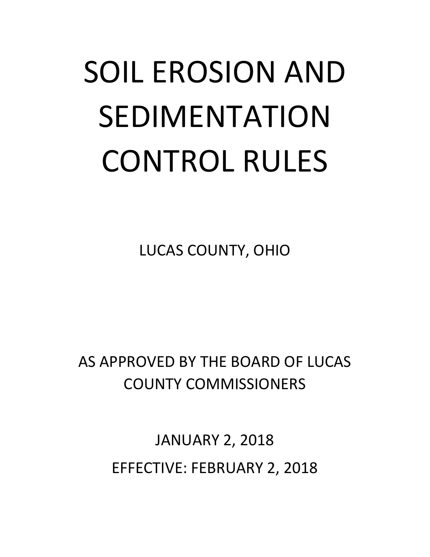# SOIL EROSION AND SEDIMENTATION CONTROL RULES

LUCAS COUNTY, OHIO

AS APPROVED BY THE BOARD OF LUCAS COUNTY COMMISSIONERS

> JANUARY 2, 2018 EFFECTIVE: FEBRUARY 2, 2018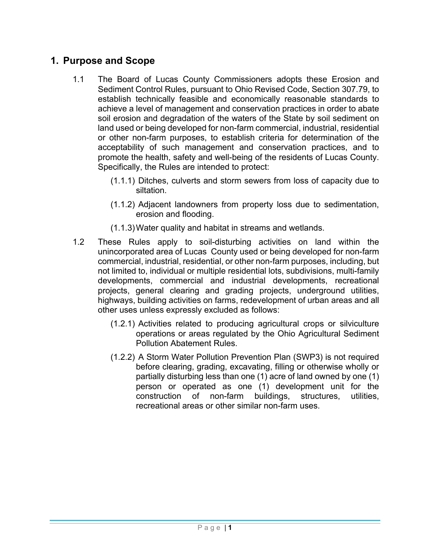## **1. Purpose and Scope**

- 1.1 The Board of Lucas County Commissioners adopts these Erosion and Sediment Control Rules, pursuant to Ohio Revised Code, Section 307.79, to establish technically feasible and economically reasonable standards to achieve a level of management and conservation practices in order to abate soil erosion and degradation of the waters of the State by soil sediment on land used or being developed for non-farm commercial, industrial, residential or other non-farm purposes, to establish criteria for determination of the acceptability of such management and conservation practices, and to promote the health, safety and well-being of the residents of Lucas County. Specifically, the Rules are intended to protect:
	- (1.1.1) Ditches, culverts and storm sewers from loss of capacity due to siltation.
	- (1.1.2) Adjacent landowners from property loss due to sedimentation, erosion and flooding.
	- (1.1.3) Water quality and habitat in streams and wetlands.
- 1.2 These Rules apply to soil-disturbing activities on land within the unincorporated area of Lucas County used or being developed for non-farm commercial, industrial, residential, or other non-farm purposes, including, but not limited to, individual or multiple residential lots, subdivisions, multi-family developments, commercial and industrial developments, recreational projects, general clearing and grading projects, underground utilities, highways, building activities on farms, redevelopment of urban areas and all other uses unless expressly excluded as follows:
	- (1.2.1) Activities related to producing agricultural crops or silviculture operations or areas regulated by the Ohio Agricultural Sediment Pollution Abatement Rules.
	- (1.2.2) A Storm Water Pollution Prevention Plan (SWP3) is not required before clearing, grading, excavating, filling or otherwise wholly or partially disturbing less than one (1) acre of land owned by one (1) person or operated as one (1) development unit for the construction of non-farm buildings, structures, utilities, recreational areas or other similar non-farm uses.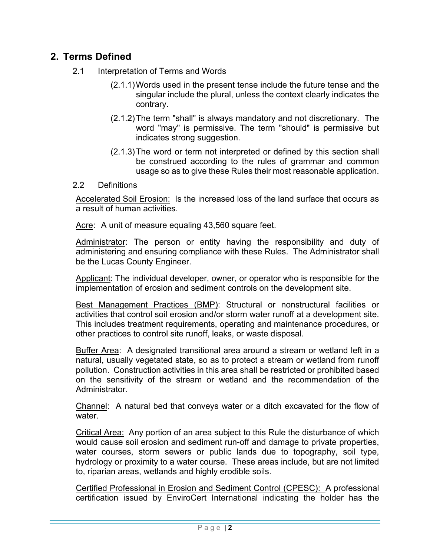## **2. Terms Defined**

- 2.1 Interpretation of Terms and Words
	- (2.1.1) Words used in the present tense include the future tense and the singular include the plural, unless the context clearly indicates the contrary.
	- (2.1.2) The term "shall" is always mandatory and not discretionary. The word "may" is permissive. The term "should" is permissive but indicates strong suggestion.
	- (2.1.3) The word or term not interpreted or defined by this section shall be construed according to the rules of grammar and common usage so as to give these Rules their most reasonable application.
- 2.2 Definitions

Accelerated Soil Erosion: Is the increased loss of the land surface that occurs as a result of human activities.

Acre: A unit of measure equaling 43,560 square feet.

Administrator: The person or entity having the responsibility and duty of administering and ensuring compliance with these Rules. The Administrator shall be the Lucas County Engineer.

Applicant: The individual developer, owner, or operator who is responsible for the implementation of erosion and sediment controls on the development site.

Best Management Practices (BMP): Structural or nonstructural facilities or activities that control soil erosion and/or storm water runoff at a development site. This includes treatment requirements, operating and maintenance procedures, or other practices to control site runoff, leaks, or waste disposal.

Buffer Area: A designated transitional area around a stream or wetland left in a natural, usually vegetated state, so as to protect a stream or wetland from runoff pollution. Construction activities in this area shall be restricted or prohibited based on the sensitivity of the stream or wetland and the recommendation of the Administrator.

Channel: A natural bed that conveys water or a ditch excavated for the flow of water.

Critical Area: Any portion of an area subject to this Rule the disturbance of which would cause soil erosion and sediment run-off and damage to private properties, water courses, storm sewers or public lands due to topography, soil type, hydrology or proximity to a water course. These areas include, but are not limited to, riparian areas, wetlands and highly erodible soils.

Certified Professional in Erosion and Sediment Control (CPESC): A professional certification issued by EnviroCert International indicating the holder has the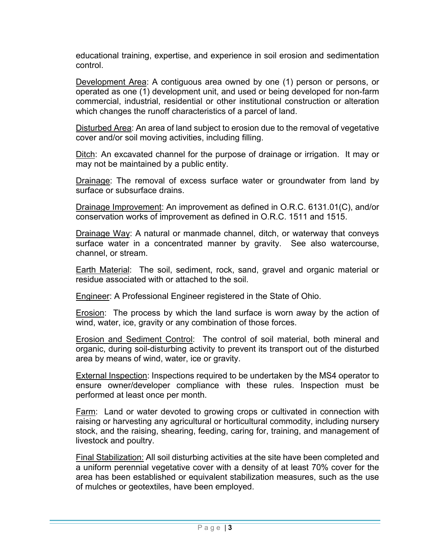educational training, expertise, and experience in soil erosion and sedimentation control.

Development Area: A contiguous area owned by one (1) person or persons, or operated as one (1) development unit, and used or being developed for non-farm commercial, industrial, residential or other institutional construction or alteration which changes the runoff characteristics of a parcel of land.

Disturbed Area: An area of land subject to erosion due to the removal of vegetative cover and/or soil moving activities, including filling.

Ditch: An excavated channel for the purpose of drainage or irrigation. It may or may not be maintained by a public entity.

Drainage: The removal of excess surface water or groundwater from land by surface or subsurface drains.

Drainage Improvement: An improvement as defined in O.R.C. 6131.01(C), and/or conservation works of improvement as defined in O.R.C. 1511 and 1515.

Drainage Way: A natural or manmade channel, ditch, or waterway that conveys surface water in a concentrated manner by gravity. See also watercourse, channel, or stream.

**Earth Material:** The soil, sediment, rock, sand, gravel and organic material or residue associated with or attached to the soil.

Engineer: A Professional Engineer registered in the State of Ohio.

Erosion: The process by which the land surface is worn away by the action of wind, water, ice, gravity or any combination of those forces.

Erosion and Sediment Control: The control of soil material, both mineral and organic, during soil-disturbing activity to prevent its transport out of the disturbed area by means of wind, water, ice or gravity.

External Inspection: Inspections required to be undertaken by the MS4 operator to ensure owner/developer compliance with these rules. Inspection must be performed at least once per month.

Farm: Land or water devoted to growing crops or cultivated in connection with raising or harvesting any agricultural or horticultural commodity, including nursery stock, and the raising, shearing, feeding, caring for, training, and management of livestock and poultry.

Final Stabilization: All soil disturbing activities at the site have been completed and a uniform perennial vegetative cover with a density of at least 70% cover for the area has been established or equivalent stabilization measures, such as the use of mulches or geotextiles, have been employed.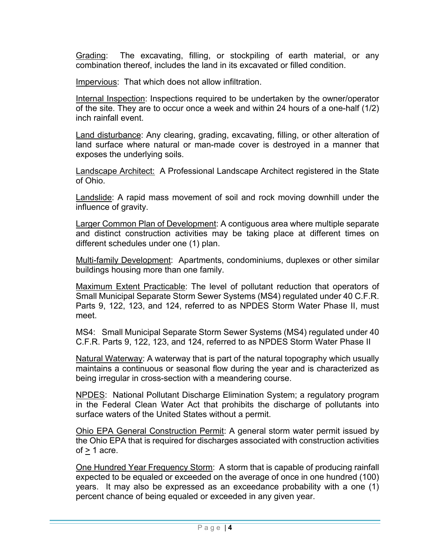Grading: The excavating, filling, or stockpiling of earth material, or any combination thereof, includes the land in its excavated or filled condition.

Impervious: That which does not allow infiltration.

Internal Inspection: Inspections required to be undertaken by the owner/operator of the site. They are to occur once a week and within 24 hours of a one-half (1/2) inch rainfall event.

Land disturbance: Any clearing, grading, excavating, filling, or other alteration of land surface where natural or man-made cover is destroyed in a manner that exposes the underlying soils.

Landscape Architect: A Professional Landscape Architect registered in the State of Ohio.

Landslide: A rapid mass movement of soil and rock moving downhill under the influence of gravity.

Larger Common Plan of Development: A contiguous area where multiple separate and distinct construction activities may be taking place at different times on different schedules under one (1) plan.

Multi-family Development: Apartments, condominiums, duplexes or other similar buildings housing more than one family.

Maximum Extent Practicable: The level of pollutant reduction that operators of Small Municipal Separate Storm Sewer Systems (MS4) regulated under 40 C.F.R. Parts 9, 122, 123, and 124, referred to as NPDES Storm Water Phase II, must meet.

MS4: Small Municipal Separate Storm Sewer Systems (MS4) regulated under 40 C.F.R. Parts 9, 122, 123, and 124, referred to as NPDES Storm Water Phase II

Natural Waterway: A waterway that is part of the natural topography which usually maintains a continuous or seasonal flow during the year and is characterized as being irregular in cross-section with a meandering course.

NPDES: National Pollutant Discharge Elimination System; a regulatory program in the Federal Clean Water Act that prohibits the discharge of pollutants into surface waters of the United States without a permit.

Ohio EPA General Construction Permit: A general storm water permit issued by the Ohio EPA that is required for discharges associated with construction activities  $of > 1$  acre.

One Hundred Year Frequency Storm: A storm that is capable of producing rainfall expected to be equaled or exceeded on the average of once in one hundred (100) years. It may also be expressed as an exceedance probability with a one (1) percent chance of being equaled or exceeded in any given year.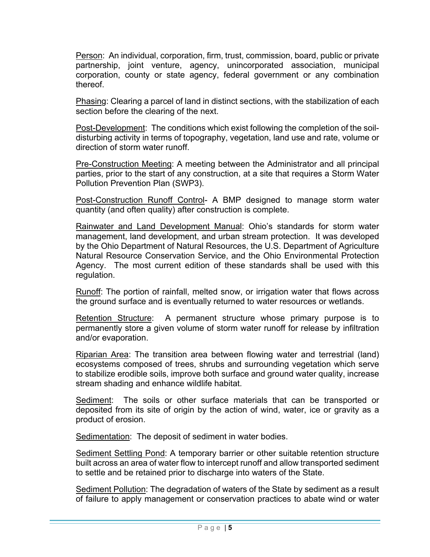Person: An individual, corporation, firm, trust, commission, board, public or private partnership, joint venture, agency, unincorporated association, municipal corporation, county or state agency, federal government or any combination thereof.

Phasing: Clearing a parcel of land in distinct sections, with the stabilization of each section before the clearing of the next.

Post-Development: The conditions which exist following the completion of the soildisturbing activity in terms of topography, vegetation, land use and rate, volume or direction of storm water runoff.

Pre-Construction Meeting: A meeting between the Administrator and all principal parties, prior to the start of any construction, at a site that requires a Storm Water Pollution Prevention Plan (SWP3).

Post-Construction Runoff Control- A BMP designed to manage storm water quantity (and often quality) after construction is complete.

Rainwater and Land Development Manual: Ohio's standards for storm water management, land development, and urban stream protection. It was developed by the Ohio Department of Natural Resources, the U.S. Department of Agriculture Natural Resource Conservation Service, and the Ohio Environmental Protection Agency. The most current edition of these standards shall be used with this regulation.

Runoff: The portion of rainfall, melted snow, or irrigation water that flows across the ground surface and is eventually returned to water resources or wetlands.

Retention Structure: A permanent structure whose primary purpose is to permanently store a given volume of storm water runoff for release by infiltration and/or evaporation.

Riparian Area: The transition area between flowing water and terrestrial (land) ecosystems composed of trees, shrubs and surrounding vegetation which serve to stabilize erodible soils, improve both surface and ground water quality, increase stream shading and enhance wildlife habitat.

Sediment: The soils or other surface materials that can be transported or deposited from its site of origin by the action of wind, water, ice or gravity as a product of erosion.

Sedimentation: The deposit of sediment in water bodies.

Sediment Settling Pond: A temporary barrier or other suitable retention structure built across an area of water flow to intercept runoff and allow transported sediment to settle and be retained prior to discharge into waters of the State.

Sediment Pollution: The degradation of waters of the State by sediment as a result of failure to apply management or conservation practices to abate wind or water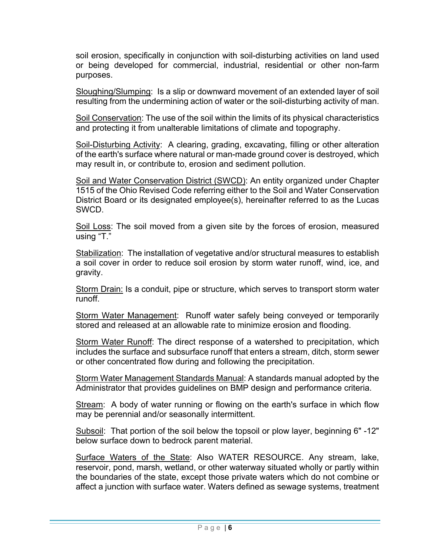soil erosion, specifically in conjunction with soil-disturbing activities on land used or being developed for commercial, industrial, residential or other non-farm purposes.

Sloughing/Slumping: Is a slip or downward movement of an extended layer of soil resulting from the undermining action of water or the soil-disturbing activity of man.

Soil Conservation: The use of the soil within the limits of its physical characteristics and protecting it from unalterable limitations of climate and topography.

Soil-Disturbing Activity: A clearing, grading, excavating, filling or other alteration of the earth's surface where natural or man-made ground cover is destroyed, which may result in, or contribute to, erosion and sediment pollution.

Soil and Water Conservation District (SWCD): An entity organized under Chapter 1515 of the Ohio Revised Code referring either to the Soil and Water Conservation District Board or its designated employee(s), hereinafter referred to as the Lucas SWCD.

Soil Loss: The soil moved from a given site by the forces of erosion, measured using "T."

Stabilization: The installation of vegetative and/or structural measures to establish a soil cover in order to reduce soil erosion by storm water runoff, wind, ice, and gravity.

Storm Drain: Is a conduit, pipe or structure, which serves to transport storm water runoff.

Storm Water Management: Runoff water safely being conveyed or temporarily stored and released at an allowable rate to minimize erosion and flooding.

Storm Water Runoff: The direct response of a watershed to precipitation, which includes the surface and subsurface runoff that enters a stream, ditch, storm sewer or other concentrated flow during and following the precipitation.

Storm Water Management Standards Manual: A standards manual adopted by the Administrator that provides guidelines on BMP design and performance criteria.

Stream: A body of water running or flowing on the earth's surface in which flow may be perennial and/or seasonally intermittent.

Subsoil: That portion of the soil below the topsoil or plow layer, beginning 6" -12" below surface down to bedrock parent material.

Surface Waters of the State: Also WATER RESOURCE. Any stream, lake, reservoir, pond, marsh, wetland, or other waterway situated wholly or partly within the boundaries of the state, except those private waters which do not combine or affect a junction with surface water. Waters defined as sewage systems, treatment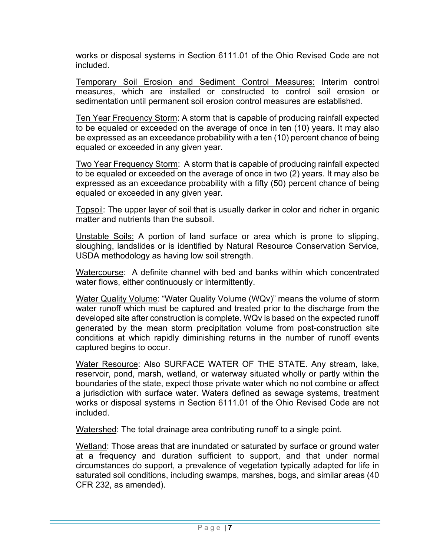works or disposal systems in Section 6111.01 of the Ohio Revised Code are not included.

Temporary Soil Erosion and Sediment Control Measures: Interim control measures, which are installed or constructed to control soil erosion or sedimentation until permanent soil erosion control measures are established.

Ten Year Frequency Storm: A storm that is capable of producing rainfall expected to be equaled or exceeded on the average of once in ten (10) years. It may also be expressed as an exceedance probability with a ten (10) percent chance of being equaled or exceeded in any given year.

Two Year Frequency Storm: A storm that is capable of producing rainfall expected to be equaled or exceeded on the average of once in two (2) years. It may also be expressed as an exceedance probability with a fifty (50) percent chance of being equaled or exceeded in any given year.

Topsoil: The upper layer of soil that is usually darker in color and richer in organic matter and nutrients than the subsoil.

Unstable Soils: A portion of land surface or area which is prone to slipping, sloughing, landslides or is identified by Natural Resource Conservation Service, USDA methodology as having low soil strength.

Watercourse: A definite channel with bed and banks within which concentrated water flows, either continuously or intermittently.

Water Quality Volume: "Water Quality Volume (WQv)" means the volume of storm water runoff which must be captured and treated prior to the discharge from the developed site after construction is complete. WQv is based on the expected runoff generated by the mean storm precipitation volume from post-construction site conditions at which rapidly diminishing returns in the number of runoff events captured begins to occur.

Water Resource: Also SURFACE WATER OF THE STATE. Any stream, lake, reservoir, pond, marsh, wetland, or waterway situated wholly or partly within the boundaries of the state, expect those private water which no not combine or affect a jurisdiction with surface water. Waters defined as sewage systems, treatment works or disposal systems in Section 6111.01 of the Ohio Revised Code are not included.

Watershed: The total drainage area contributing runoff to a single point.

Wetland: Those areas that are inundated or saturated by surface or ground water at a frequency and duration sufficient to support, and that under normal circumstances do support, a prevalence of vegetation typically adapted for life in saturated soil conditions, including swamps, marshes, bogs, and similar areas (40 CFR 232, as amended).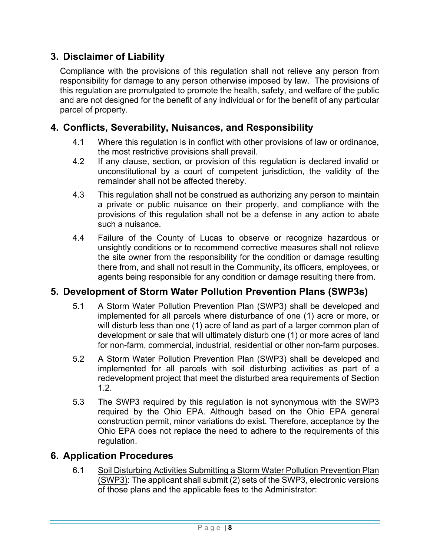## **3. Disclaimer of Liability**

Compliance with the provisions of this regulation shall not relieve any person from responsibility for damage to any person otherwise imposed by law. The provisions of this regulation are promulgated to promote the health, safety, and welfare of the public and are not designed for the benefit of any individual or for the benefit of any particular parcel of property.

## **4. Conflicts, Severability, Nuisances, and Responsibility**

- 4.1 Where this regulation is in conflict with other provisions of law or ordinance, the most restrictive provisions shall prevail.
- 4.2 If any clause, section, or provision of this regulation is declared invalid or unconstitutional by a court of competent jurisdiction, the validity of the remainder shall not be affected thereby.
- 4.3 This regulation shall not be construed as authorizing any person to maintain a private or public nuisance on their property, and compliance with the provisions of this regulation shall not be a defense in any action to abate such a nuisance.
- 4.4 Failure of the County of Lucas to observe or recognize hazardous or unsightly conditions or to recommend corrective measures shall not relieve the site owner from the responsibility for the condition or damage resulting there from, and shall not result in the Community, its officers, employees, or agents being responsible for any condition or damage resulting there from.

## **5. Development of Storm Water Pollution Prevention Plans (SWP3s)**

- 5.1 A Storm Water Pollution Prevention Plan (SWP3) shall be developed and implemented for all parcels where disturbance of one (1) acre or more, or will disturb less than one (1) acre of land as part of a larger common plan of development or sale that will ultimately disturb one (1) or more acres of land for non-farm, commercial, industrial, residential or other non-farm purposes.
- 5.2 A Storm Water Pollution Prevention Plan (SWP3) shall be developed and implemented for all parcels with soil disturbing activities as part of a redevelopment project that meet the disturbed area requirements of Section 1.2.
- 5.3 The SWP3 required by this regulation is not synonymous with the SWP3 required by the Ohio EPA. Although based on the Ohio EPA general construction permit, minor variations do exist. Therefore, acceptance by the Ohio EPA does not replace the need to adhere to the requirements of this regulation.

## **6. Application Procedures**

6.1 Soil Disturbing Activities Submitting a Storm Water Pollution Prevention Plan (SWP3): The applicant shall submit (2) sets of the SWP3, electronic versions of those plans and the applicable fees to the Administrator: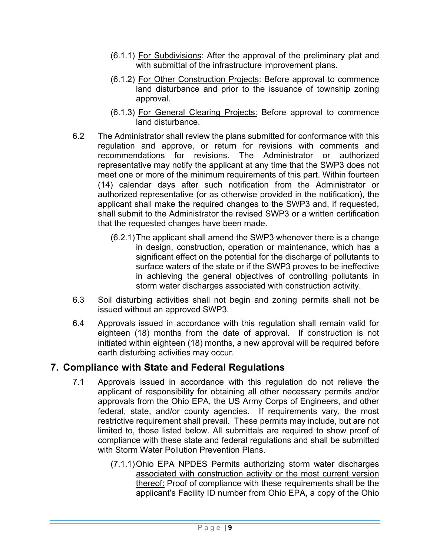- (6.1.1) For Subdivisions: After the approval of the preliminary plat and with submittal of the infrastructure improvement plans.
- (6.1.2) For Other Construction Projects: Before approval to commence land disturbance and prior to the issuance of township zoning approval.
- (6.1.3) For General Clearing Projects: Before approval to commence land disturbance.
- 6.2 The Administrator shall review the plans submitted for conformance with this regulation and approve, or return for revisions with comments and recommendations for revisions. The Administrator or authorized representative may notify the applicant at any time that the SWP3 does not meet one or more of the minimum requirements of this part. Within fourteen (14) calendar days after such notification from the Administrator or authorized representative (or as otherwise provided in the notification), the applicant shall make the required changes to the SWP3 and, if requested, shall submit to the Administrator the revised SWP3 or a written certification that the requested changes have been made.
	- (6.2.1) The applicant shall amend the SWP3 whenever there is a change in design, construction, operation or maintenance, which has a significant effect on the potential for the discharge of pollutants to surface waters of the state or if the SWP3 proves to be ineffective in achieving the general objectives of controlling pollutants in storm water discharges associated with construction activity.
- 6.3 Soil disturbing activities shall not begin and zoning permits shall not be issued without an approved SWP3.
- 6.4 Approvals issued in accordance with this regulation shall remain valid for eighteen (18) months from the date of approval. If construction is not initiated within eighteen (18) months, a new approval will be required before earth disturbing activities may occur.

## **7. Compliance with State and Federal Regulations**

- 7.1 Approvals issued in accordance with this regulation do not relieve the applicant of responsibility for obtaining all other necessary permits and/or approvals from the Ohio EPA, the US Army Corps of Engineers, and other federal, state, and/or county agencies. If requirements vary, the most restrictive requirement shall prevail. These permits may include, but are not limited to, those listed below. All submittals are required to show proof of compliance with these state and federal regulations and shall be submitted with Storm Water Pollution Prevention Plans.
	- (7.1.1) Ohio EPA NPDES Permits authorizing storm water discharges associated with construction activity or the most current version thereof: Proof of compliance with these requirements shall be the applicant's Facility ID number from Ohio EPA, a copy of the Ohio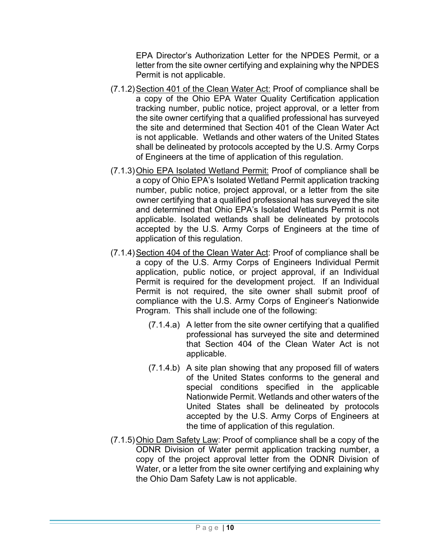EPA Director's Authorization Letter for the NPDES Permit, or a letter from the site owner certifying and explaining why the NPDES Permit is not applicable.

- (7.1.2) Section 401 of the Clean Water Act: Proof of compliance shall be a copy of the Ohio EPA Water Quality Certification application tracking number, public notice, project approval, or a letter from the site owner certifying that a qualified professional has surveyed the site and determined that Section 401 of the Clean Water Act is not applicable. Wetlands and other waters of the United States shall be delineated by protocols accepted by the U.S. Army Corps of Engineers at the time of application of this regulation.
- (7.1.3) Ohio EPA Isolated Wetland Permit: Proof of compliance shall be a copy of Ohio EPA's Isolated Wetland Permit application tracking number, public notice, project approval, or a letter from the site owner certifying that a qualified professional has surveyed the site and determined that Ohio EPA's Isolated Wetlands Permit is not applicable. Isolated wetlands shall be delineated by protocols accepted by the U.S. Army Corps of Engineers at the time of application of this regulation.
- (7.1.4) Section 404 of the Clean Water Act: Proof of compliance shall be a copy of the U.S. Army Corps of Engineers Individual Permit application, public notice, or project approval, if an Individual Permit is required for the development project. If an Individual Permit is not required, the site owner shall submit proof of compliance with the U.S. Army Corps of Engineer's Nationwide Program. This shall include one of the following:
	- (7.1.4.a) A letter from the site owner certifying that a qualified professional has surveyed the site and determined that Section 404 of the Clean Water Act is not applicable.
	- (7.1.4.b) A site plan showing that any proposed fill of waters of the United States conforms to the general and special conditions specified in the applicable Nationwide Permit. Wetlands and other waters of the United States shall be delineated by protocols accepted by the U.S. Army Corps of Engineers at the time of application of this regulation.
- (7.1.5) Ohio Dam Safety Law: Proof of compliance shall be a copy of the ODNR Division of Water permit application tracking number, a copy of the project approval letter from the ODNR Division of Water, or a letter from the site owner certifying and explaining why the Ohio Dam Safety Law is not applicable.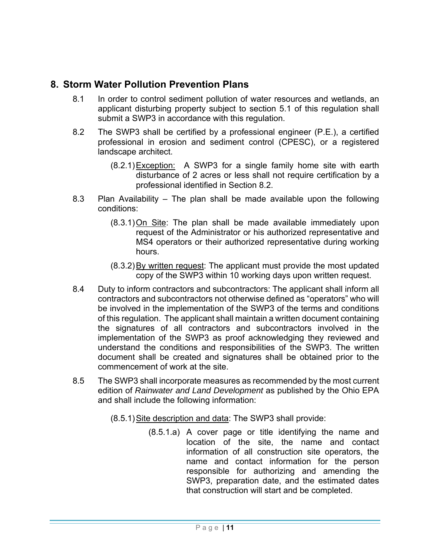## **8. Storm Water Pollution Prevention Plans**

- 8.1 In order to control sediment pollution of water resources and wetlands, an applicant disturbing property subject to section 5.1 of this regulation shall submit a SWP3 in accordance with this regulation.
- 8.2 The SWP3 shall be certified by a professional engineer (P.E.), a certified professional in erosion and sediment control (CPESC), or a registered landscape architect.
	- (8.2.1) Exception: A SWP3 for a single family home site with earth disturbance of 2 acres or less shall not require certification by a professional identified in Section 8.2.
- 8.3 Plan Availability The plan shall be made available upon the following conditions:
	- (8.3.1) On Site: The plan shall be made available immediately upon request of the Administrator or his authorized representative and MS4 operators or their authorized representative during working hours.
	- (8.3.2) By written request: The applicant must provide the most updated copy of the SWP3 within 10 working days upon written request.
- 8.4 Duty to inform contractors and subcontractors: The applicant shall inform all contractors and subcontractors not otherwise defined as "operators" who will be involved in the implementation of the SWP3 of the terms and conditions of this regulation. The applicant shall maintain a written document containing the signatures of all contractors and subcontractors involved in the implementation of the SWP3 as proof acknowledging they reviewed and understand the conditions and responsibilities of the SWP3. The written document shall be created and signatures shall be obtained prior to the commencement of work at the site.
- 8.5 The SWP3 shall incorporate measures as recommended by the most current edition of *Rainwater and Land Development* as published by the Ohio EPA and shall include the following information:
	- (8.5.1) Site description and data: The SWP3 shall provide:
		- (8.5.1.a) A cover page or title identifying the name and location of the site, the name and contact information of all construction site operators, the name and contact information for the person responsible for authorizing and amending the SWP3, preparation date, and the estimated dates that construction will start and be completed.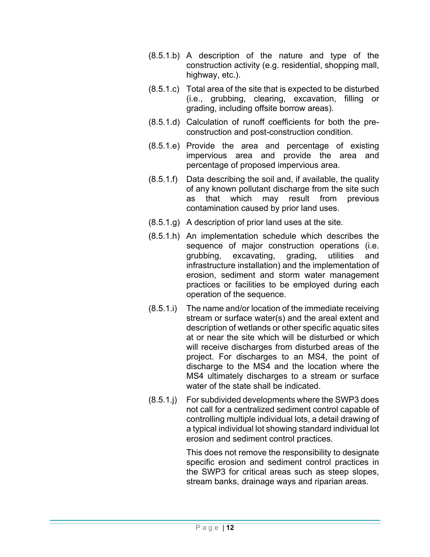- (8.5.1.b) A description of the nature and type of the construction activity (e.g. residential, shopping mall, highway, etc.).
- (8.5.1.c) Total area of the site that is expected to be disturbed (i.e., grubbing, clearing, excavation, filling or grading, including offsite borrow areas).
- (8.5.1.d) Calculation of runoff coefficients for both the preconstruction and post-construction condition.
- (8.5.1.e) Provide the area and percentage of existing impervious area and provide the area and percentage of proposed impervious area.
- (8.5.1.f) Data describing the soil and, if available, the quality of any known pollutant discharge from the site such as that which may result from previous contamination caused by prior land uses.
- (8.5.1.g) A description of prior land uses at the site.
- (8.5.1.h) An implementation schedule which describes the sequence of major construction operations (i.e. grubbing, excavating, grading, utilities and infrastructure installation) and the implementation of erosion, sediment and storm water management practices or facilities to be employed during each operation of the sequence.
- (8.5.1.i) The name and/or location of the immediate receiving stream or surface water(s) and the areal extent and description of wetlands or other specific aquatic sites at or near the site which will be disturbed or which will receive discharges from disturbed areas of the project. For discharges to an MS4, the point of discharge to the MS4 and the location where the MS4 ultimately discharges to a stream or surface water of the state shall be indicated.
- (8.5.1.j) For subdivided developments where the SWP3 does not call for a centralized sediment control capable of controlling multiple individual lots, a detail drawing of a typical individual lot showing standard individual lot erosion and sediment control practices.

 This does not remove the responsibility to designate specific erosion and sediment control practices in the SWP3 for critical areas such as steep slopes, stream banks, drainage ways and riparian areas.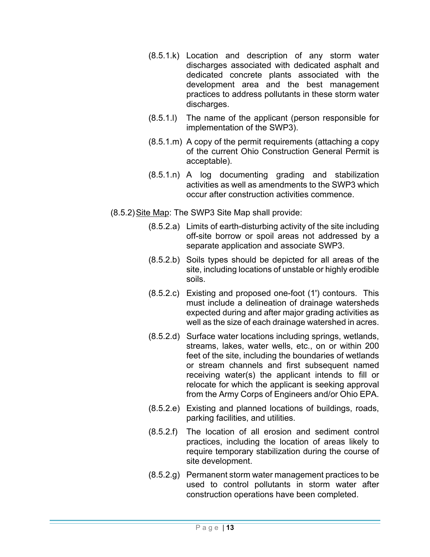- (8.5.1.k) Location and description of any storm water discharges associated with dedicated asphalt and dedicated concrete plants associated with the development area and the best management practices to address pollutants in these storm water discharges.
- (8.5.1.l) The name of the applicant (person responsible for implementation of the SWP3).
- (8.5.1.m) A copy of the permit requirements (attaching a copy of the current Ohio Construction General Permit is acceptable).
- (8.5.1.n) A log documenting grading and stabilization activities as well as amendments to the SWP3 which occur after construction activities commence.

(8.5.2) Site Map: The SWP3 Site Map shall provide:

- (8.5.2.a) Limits of earth-disturbing activity of the site including off-site borrow or spoil areas not addressed by a separate application and associate SWP3.
- (8.5.2.b) Soils types should be depicted for all areas of the site, including locations of unstable or highly erodible soils.
- (8.5.2.c) Existing and proposed one-foot (1') contours. This must include a delineation of drainage watersheds expected during and after major grading activities as well as the size of each drainage watershed in acres.
- (8.5.2.d) Surface water locations including springs, wetlands, streams, lakes, water wells, etc., on or within 200 feet of the site, including the boundaries of wetlands or stream channels and first subsequent named receiving water(s) the applicant intends to fill or relocate for which the applicant is seeking approval from the Army Corps of Engineers and/or Ohio EPA.
- (8.5.2.e) Existing and planned locations of buildings, roads, parking facilities, and utilities.
- (8.5.2.f) The location of all erosion and sediment control practices, including the location of areas likely to require temporary stabilization during the course of site development.
- (8.5.2.g) Permanent storm water management practices to be used to control pollutants in storm water after construction operations have been completed.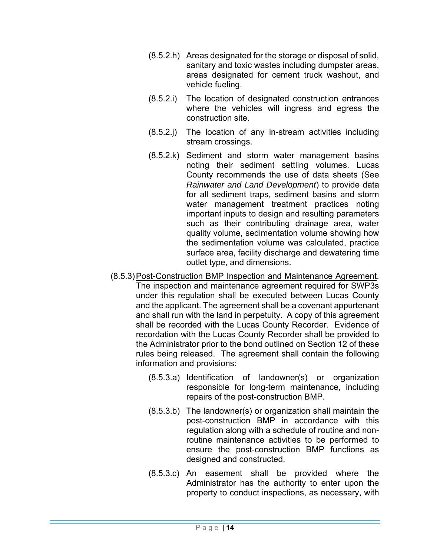- (8.5.2.h) Areas designated for the storage or disposal of solid, sanitary and toxic wastes including dumpster areas, areas designated for cement truck washout, and vehicle fueling.
- (8.5.2.i) The location of designated construction entrances where the vehicles will ingress and egress the construction site.
- (8.5.2.j) The location of any in-stream activities including stream crossings.
- (8.5.2.k) Sediment and storm water management basins noting their sediment settling volumes. Lucas County recommends the use of data sheets (See *Rainwater and Land Development*) to provide data for all sediment traps, sediment basins and storm water management treatment practices noting important inputs to design and resulting parameters such as their contributing drainage area, water quality volume, sedimentation volume showing how the sedimentation volume was calculated, practice surface area, facility discharge and dewatering time outlet type, and dimensions.
- (8.5.3) Post-Construction BMP Inspection and Maintenance Agreement. The inspection and maintenance agreement required for SWP3s under this regulation shall be executed between Lucas County and the applicant. The agreement shall be a covenant appurtenant and shall run with the land in perpetuity. A copy of this agreement shall be recorded with the Lucas County Recorder. Evidence of recordation with the Lucas County Recorder shall be provided to the Administrator prior to the bond outlined on Section 12 of these rules being released. The agreement shall contain the following information and provisions:
	- (8.5.3.a) Identification of landowner(s) or organization responsible for long-term maintenance, including repairs of the post-construction BMP.
	- (8.5.3.b) The landowner(s) or organization shall maintain the post-construction BMP in accordance with this regulation along with a schedule of routine and nonroutine maintenance activities to be performed to ensure the post-construction BMP functions as designed and constructed.
	- (8.5.3.c) An easement shall be provided where the Administrator has the authority to enter upon the property to conduct inspections, as necessary, with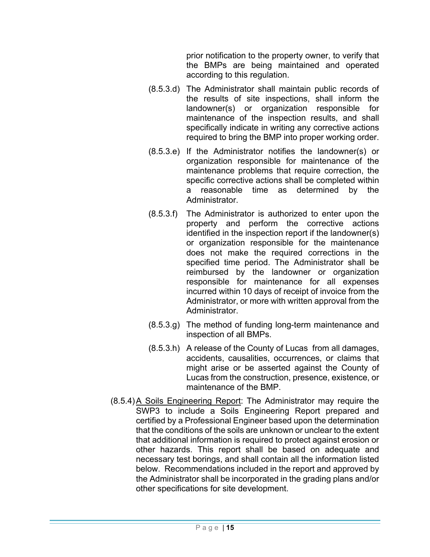prior notification to the property owner, to verify that the BMPs are being maintained and operated according to this regulation.

- (8.5.3.d) The Administrator shall maintain public records of the results of site inspections, shall inform the landowner(s) or organization responsible for maintenance of the inspection results, and shall specifically indicate in writing any corrective actions required to bring the BMP into proper working order.
- (8.5.3.e) If the Administrator notifies the landowner(s) or organization responsible for maintenance of the maintenance problems that require correction, the specific corrective actions shall be completed within a reasonable time as determined by the **Administrator**
- (8.5.3.f) The Administrator is authorized to enter upon the property and perform the corrective actions identified in the inspection report if the landowner(s) or organization responsible for the maintenance does not make the required corrections in the specified time period. The Administrator shall be reimbursed by the landowner or organization responsible for maintenance for all expenses incurred within 10 days of receipt of invoice from the Administrator, or more with written approval from the Administrator.
- (8.5.3.g) The method of funding long-term maintenance and inspection of all BMPs.
- (8.5.3.h) A release of the County of Lucas from all damages, accidents, causalities, occurrences, or claims that might arise or be asserted against the County of Lucas from the construction, presence, existence, or maintenance of the BMP.
- (8.5.4) A Soils Engineering Report: The Administrator may require the SWP3 to include a Soils Engineering Report prepared and certified by a Professional Engineer based upon the determination that the conditions of the soils are unknown or unclear to the extent that additional information is required to protect against erosion or other hazards. This report shall be based on adequate and necessary test borings, and shall contain all the information listed below. Recommendations included in the report and approved by the Administrator shall be incorporated in the grading plans and/or other specifications for site development.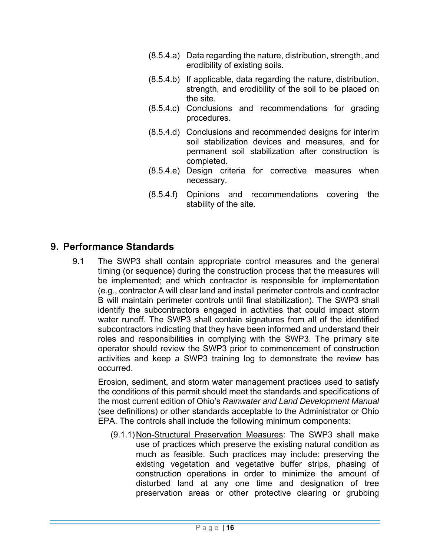- (8.5.4.a) Data regarding the nature, distribution, strength, and erodibility of existing soils.
- (8.5.4.b) If applicable, data regarding the nature, distribution, strength, and erodibility of the soil to be placed on the site.
- (8.5.4.c) Conclusions and recommendations for grading procedures.
- (8.5.4.d) Conclusions and recommended designs for interim soil stabilization devices and measures, and for permanent soil stabilization after construction is completed.
- (8.5.4.e) Design criteria for corrective measures when necessary.
- (8.5.4.f) Opinions and recommendations covering the stability of the site.

## **9. Performance Standards**

9.1 The SWP3 shall contain appropriate control measures and the general timing (or sequence) during the construction process that the measures will be implemented; and which contractor is responsible for implementation (e.g., contractor A will clear land and install perimeter controls and contractor B will maintain perimeter controls until final stabilization). The SWP3 shall identify the subcontractors engaged in activities that could impact storm water runoff. The SWP3 shall contain signatures from all of the identified subcontractors indicating that they have been informed and understand their roles and responsibilities in complying with the SWP3. The primary site operator should review the SWP3 prior to commencement of construction activities and keep a SWP3 training log to demonstrate the review has occurred.

Erosion, sediment, and storm water management practices used to satisfy the conditions of this permit should meet the standards and specifications of the most current edition of Ohio's *Rainwater and Land Development Manual* (see definitions) or other standards acceptable to the Administrator or Ohio EPA. The controls shall include the following minimum components:

(9.1.1) Non-Structural Preservation Measures: The SWP3 shall make use of practices which preserve the existing natural condition as much as feasible. Such practices may include: preserving the existing vegetation and vegetative buffer strips, phasing of construction operations in order to minimize the amount of disturbed land at any one time and designation of tree preservation areas or other protective clearing or grubbing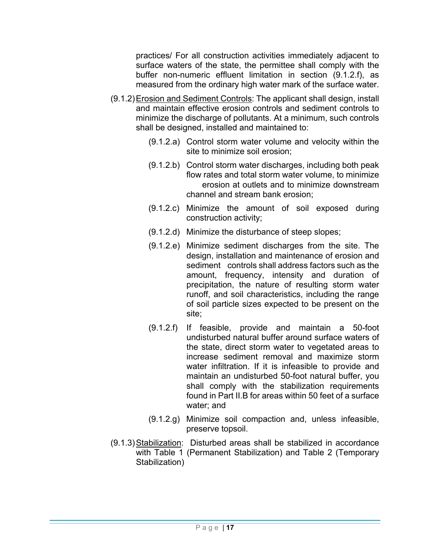practices/ For all construction activities immediately adjacent to surface waters of the state, the permittee shall comply with the buffer non-numeric effluent limitation in section (9.1.2.f), as measured from the ordinary high water mark of the surface water.

- (9.1.2) Erosion and Sediment Controls: The applicant shall design, install and maintain effective erosion controls and sediment controls to minimize the discharge of pollutants. At a minimum, such controls shall be designed, installed and maintained to:
	- (9.1.2.a) Control storm water volume and velocity within the site to minimize soil erosion;
	- (9.1.2.b) Control storm water discharges, including both peak flow rates and total storm water volume, to minimize erosion at outlets and to minimize downstream channel and stream bank erosion;
	- (9.1.2.c) Minimize the amount of soil exposed during construction activity;
	- (9.1.2.d) Minimize the disturbance of steep slopes;
	- (9.1.2.e) Minimize sediment discharges from the site. The design, installation and maintenance of erosion and sediment controls shall address factors such as the amount, frequency, intensity and duration of precipitation, the nature of resulting storm water runoff, and soil characteristics, including the range of soil particle sizes expected to be present on the site;
	- (9.1.2.f) If feasible, provide and maintain a 50-foot undisturbed natural buffer around surface waters of the state, direct storm water to vegetated areas to increase sediment removal and maximize storm water infiltration. If it is infeasible to provide and maintain an undisturbed 50-foot natural buffer, you shall comply with the stabilization requirements found in Part II.B for areas within 50 feet of a surface water; and
	- (9.1.2.g) Minimize soil compaction and, unless infeasible, preserve topsoil.
- (9.1.3) Stabilization: Disturbed areas shall be stabilized in accordance with Table 1 (Permanent Stabilization) and Table 2 (Temporary Stabilization)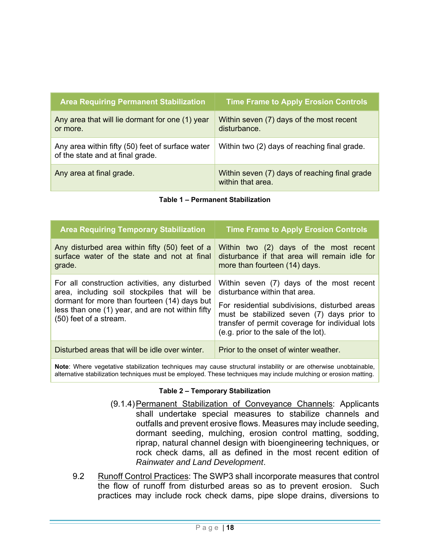| <b>Area Requiring Permanent Stabilization</b>                                        | <b>Time Frame to Apply Erosion Controls</b>                        |
|--------------------------------------------------------------------------------------|--------------------------------------------------------------------|
| Any area that will lie dormant for one (1) year<br>or more.                          | Within seven (7) days of the most recent<br>disturbance            |
| Any area within fifty (50) feet of surface water<br>of the state and at final grade. | Within two (2) days of reaching final grade.                       |
| Any area at final grade.                                                             | Within seven (7) days of reaching final grade<br>within that area. |

#### **Table 1 – Permanent Stabilization**

| <b>Area Requiring Temporary Stabilization</b>                                                                                                                                                                                | <b>Time Frame to Apply Erosion Controls</b>                                                                                                                                                                                                                         |
|------------------------------------------------------------------------------------------------------------------------------------------------------------------------------------------------------------------------------|---------------------------------------------------------------------------------------------------------------------------------------------------------------------------------------------------------------------------------------------------------------------|
| Any disturbed area within fifty (50) feet of a<br>surface water of the state and not at final<br>grade.                                                                                                                      | Within two (2) days of the most recent<br>disturbance if that area will remain idle for<br>more than fourteen (14) days.                                                                                                                                            |
| For all construction activities, any disturbed<br>area, including soil stockpiles that will be<br>dormant for more than fourteen (14) days but<br>less than one (1) year, and are not within fifty<br>(50) feet of a stream. | Within seven (7) days of the most recent<br>disturbance within that area.<br>For residential subdivisions, disturbed areas<br>must be stabilized seven (7) days prior to<br>transfer of permit coverage for individual lots<br>(e.g. prior to the sale of the lot). |
| Disturbed areas that will be idle over winter.                                                                                                                                                                               | Prior to the onset of winter weather.                                                                                                                                                                                                                               |

**Note**: Where vegetative stabilization techniques may cause structural instability or are otherwise unobtainable, alternative stabilization techniques must be employed. These techniques may include mulching or erosion matting.

#### **Table 2 – Temporary Stabilization**

- (9.1.4) Permanent Stabilization of Conveyance Channels: Applicants shall undertake special measures to stabilize channels and outfalls and prevent erosive flows. Measures may include seeding, dormant seeding, mulching, erosion control matting, sodding, riprap, natural channel design with bioengineering techniques, or rock check dams, all as defined in the most recent edition of *Rainwater and Land Development*.
- 9.2 Runoff Control Practices: The SWP3 shall incorporate measures that control the flow of runoff from disturbed areas so as to prevent erosion. Such practices may include rock check dams, pipe slope drains, diversions to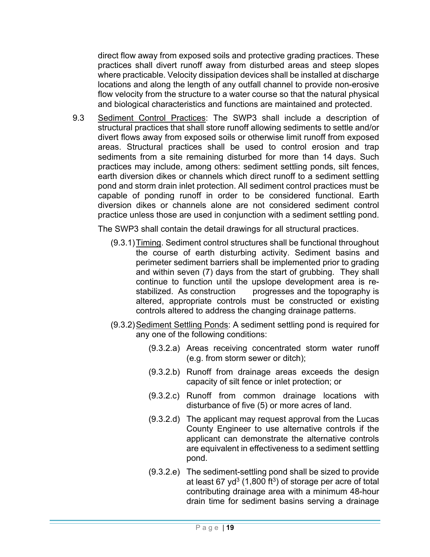direct flow away from exposed soils and protective grading practices. These practices shall divert runoff away from disturbed areas and steep slopes where practicable. Velocity dissipation devices shall be installed at discharge locations and along the length of any outfall channel to provide non-erosive flow velocity from the structure to a water course so that the natural physical and biological characteristics and functions are maintained and protected.

9.3 Sediment Control Practices: The SWP3 shall include a description of structural practices that shall store runoff allowing sediments to settle and/or divert flows away from exposed soils or otherwise limit runoff from exposed areas. Structural practices shall be used to control erosion and trap sediments from a site remaining disturbed for more than 14 days. Such practices may include, among others: sediment settling ponds, silt fences, earth diversion dikes or channels which direct runoff to a sediment settling pond and storm drain inlet protection. All sediment control practices must be capable of ponding runoff in order to be considered functional. Earth diversion dikes or channels alone are not considered sediment control practice unless those are used in conjunction with a sediment settling pond.

The SWP3 shall contain the detail drawings for all structural practices.

- (9.3.1) Timing. Sediment control structures shall be functional throughout the course of earth disturbing activity. Sediment basins and perimeter sediment barriers shall be implemented prior to grading and within seven (7) days from the start of grubbing. They shall continue to function until the upslope development area is restabilized. As construction progresses and the topography is altered, appropriate controls must be constructed or existing controls altered to address the changing drainage patterns.
- (9.3.2) Sediment Settling Ponds: A sediment settling pond is required for any one of the following conditions:
	- (9.3.2.a) Areas receiving concentrated storm water runoff (e.g. from storm sewer or ditch);
	- (9.3.2.b) Runoff from drainage areas exceeds the design capacity of silt fence or inlet protection; or
	- (9.3.2.c) Runoff from common drainage locations with disturbance of five (5) or more acres of land.
	- (9.3.2.d) The applicant may request approval from the Lucas County Engineer to use alternative controls if the applicant can demonstrate the alternative controls are equivalent in effectiveness to a sediment settling pond.
	- (9.3.2.e) The sediment-settling pond shall be sized to provide at least 67 yd<sup>3</sup> (1,800 ft<sup>3</sup>) of storage per acre of total contributing drainage area with a minimum 48-hour drain time for sediment basins serving a drainage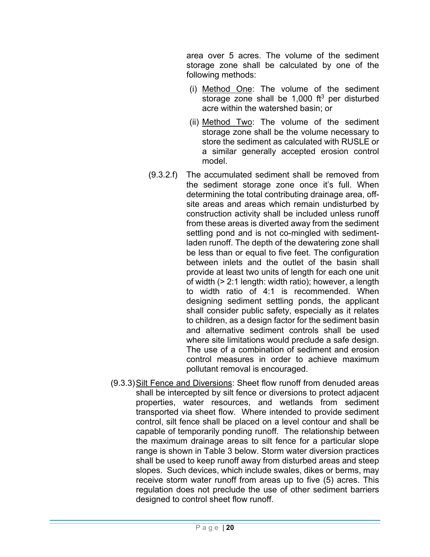area over 5 acres. The volume of the sediment storage zone shall be calculated by one of the following methods:

- (i) Method One: The volume of the sediment storage zone shall be  $1,000$  ft<sup>3</sup> per disturbed acre within the watershed basin; or
- (ii) Method Two: The volume of the sediment storage zone shall be the volume necessary to store the sediment as calculated with RUSLE or a similar generally accepted erosion control model.
- (9.3.2.f) The accumulated sediment shall be removed from the sediment storage zone once it's full. When determining the total contributing drainage area, offsite areas and areas which remain undisturbed by construction activity shall be included unless runoff from these areas is diverted away from the sediment settling pond and is not co-mingled with sedimentladen runoff. The depth of the dewatering zone shall be less than or equal to five feet. The configuration between inlets and the outlet of the basin shall provide at least two units of length for each one unit of width (> 2:1 length: width ratio); however, a length to width ratio of 4:1 is recommended. When designing sediment settling ponds, the applicant shall consider public safety, especially as it relates to children, as a design factor for the sediment basin and alternative sediment controls shall be used where site limitations would preclude a safe design. The use of a combination of sediment and erosion control measures in order to achieve maximum pollutant removal is encouraged.
- (9.3.3) Silt Fence and Diversions: Sheet flow runoff from denuded areas shall be intercepted by silt fence or diversions to protect adjacent properties, water resources, and wetlands from sediment transported via sheet flow. Where intended to provide sediment control, silt fence shall be placed on a level contour and shall be capable of temporarily ponding runoff. The relationship between the maximum drainage areas to silt fence for a particular slope range is shown in Table 3 below. Storm water diversion practices shall be used to keep runoff away from disturbed areas and steep slopes. Such devices, which include swales, dikes or berms, may receive storm water runoff from areas up to five (5) acres. This regulation does not preclude the use of other sediment barriers designed to control sheet flow runoff.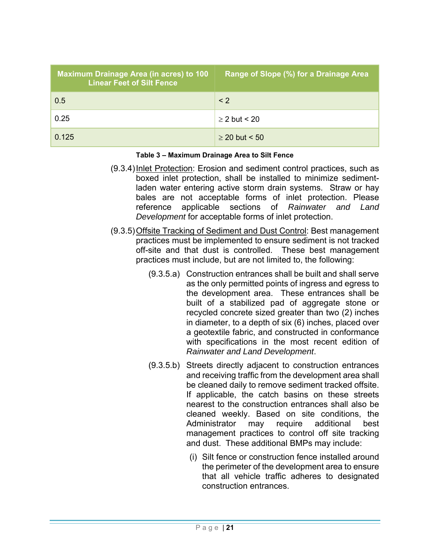| <b>Maximum Drainage Area (in acres) to 100</b><br><b>Linear Feet of Silt Fence</b> | Range of Slope (%) for a Drainage Area |
|------------------------------------------------------------------------------------|----------------------------------------|
| 0.5                                                                                | $\leq$ 2                               |
| 0.25                                                                               | $>$ 2 but < 20                         |
| 0.125                                                                              | $\geq$ 20 but < 50                     |

#### **Table 3 – Maximum Drainage Area to Silt Fence**

- (9.3.4) Inlet Protection: Erosion and sediment control practices, such as boxed inlet protection, shall be installed to minimize sedimentladen water entering active storm drain systems. Straw or hay bales are not acceptable forms of inlet protection. Please reference applicable sections of *Rainwater and Land Development* for acceptable forms of inlet protection.
- (9.3.5) Offsite Tracking of Sediment and Dust Control: Best management practices must be implemented to ensure sediment is not tracked off-site and that dust is controlled. These best management practices must include, but are not limited to, the following:
	- (9.3.5.a) Construction entrances shall be built and shall serve as the only permitted points of ingress and egress to the development area. These entrances shall be built of a stabilized pad of aggregate stone or recycled concrete sized greater than two (2) inches in diameter, to a depth of six (6) inches, placed over a geotextile fabric, and constructed in conformance with specifications in the most recent edition of *Rainwater and Land Development*.
	- (9.3.5.b) Streets directly adjacent to construction entrances and receiving traffic from the development area shall be cleaned daily to remove sediment tracked offsite. If applicable, the catch basins on these streets nearest to the construction entrances shall also be cleaned weekly. Based on site conditions, the Administrator may require additional best management practices to control off site tracking and dust. These additional BMPs may include:
		- (i) Silt fence or construction fence installed around the perimeter of the development area to ensure that all vehicle traffic adheres to designated construction entrances.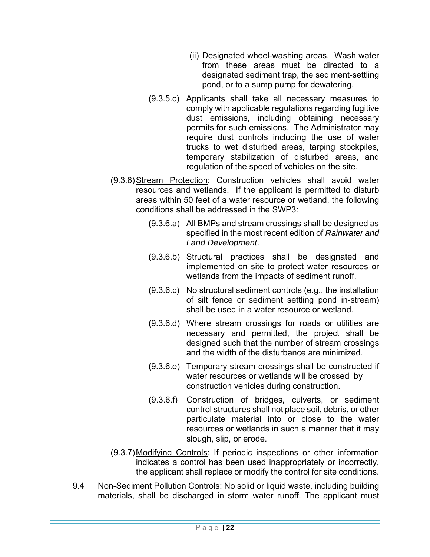- (ii) Designated wheel-washing areas. Wash water from these areas must be directed to a designated sediment trap, the sediment-settling pond, or to a sump pump for dewatering.
- (9.3.5.c) Applicants shall take all necessary measures to comply with applicable regulations regarding fugitive dust emissions, including obtaining necessary permits for such emissions. The Administrator may require dust controls including the use of water trucks to wet disturbed areas, tarping stockpiles, temporary stabilization of disturbed areas, and regulation of the speed of vehicles on the site.
- (9.3.6) Stream Protection: Construction vehicles shall avoid water resources and wetlands. If the applicant is permitted to disturb areas within 50 feet of a water resource or wetland, the following conditions shall be addressed in the SWP3:
	- (9.3.6.a) All BMPs and stream crossings shall be designed as specified in the most recent edition of *Rainwater and Land Development*.
	- (9.3.6.b) Structural practices shall be designated and implemented on site to protect water resources or wetlands from the impacts of sediment runoff.
	- (9.3.6.c) No structural sediment controls (e.g., the installation of silt fence or sediment settling pond in-stream) shall be used in a water resource or wetland.
	- (9.3.6.d) Where stream crossings for roads or utilities are necessary and permitted, the project shall be designed such that the number of stream crossings and the width of the disturbance are minimized.
	- (9.3.6.e) Temporary stream crossings shall be constructed if water resources or wetlands will be crossed by construction vehicles during construction.
	- (9.3.6.f) Construction of bridges, culverts, or sediment control structures shall not place soil, debris, or other particulate material into or close to the water resources or wetlands in such a manner that it may slough, slip, or erode.
- (9.3.7) Modifying Controls: If periodic inspections or other information indicates a control has been used inappropriately or incorrectly, the applicant shall replace or modify the control for site conditions.
- 9.4 Non-Sediment Pollution Controls: No solid or liquid waste, including building materials, shall be discharged in storm water runoff. The applicant must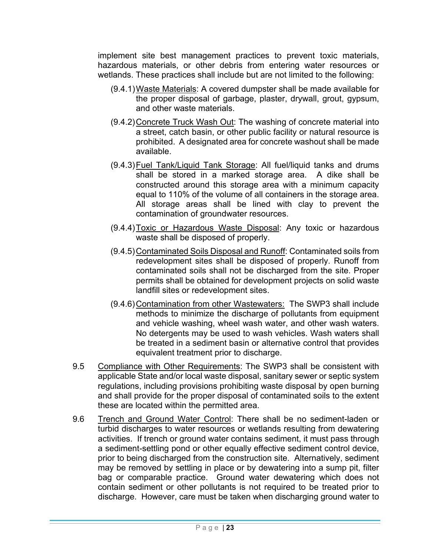implement site best management practices to prevent toxic materials, hazardous materials, or other debris from entering water resources or wetlands. These practices shall include but are not limited to the following:

- (9.4.1) Waste Materials: A covered dumpster shall be made available for the proper disposal of garbage, plaster, drywall, grout, gypsum, and other waste materials.
- (9.4.2) Concrete Truck Wash Out: The washing of concrete material into a street, catch basin, or other public facility or natural resource is prohibited. A designated area for concrete washout shall be made available.
- (9.4.3) Fuel Tank/Liquid Tank Storage: All fuel/liquid tanks and drums shall be stored in a marked storage area. A dike shall be constructed around this storage area with a minimum capacity equal to 110% of the volume of all containers in the storage area. All storage areas shall be lined with clay to prevent the contamination of groundwater resources.
- (9.4.4) Toxic or Hazardous Waste Disposal: Any toxic or hazardous waste shall be disposed of properly.
- (9.4.5) Contaminated Soils Disposal and Runoff: Contaminated soils from redevelopment sites shall be disposed of properly. Runoff from contaminated soils shall not be discharged from the site. Proper permits shall be obtained for development projects on solid waste landfill sites or redevelopment sites.
- (9.4.6) Contamination from other Wastewaters: The SWP3 shall include methods to minimize the discharge of pollutants from equipment and vehicle washing, wheel wash water, and other wash waters. No detergents may be used to wash vehicles. Wash waters shall be treated in a sediment basin or alternative control that provides equivalent treatment prior to discharge.
- 9.5 Compliance with Other Requirements: The SWP3 shall be consistent with applicable State and/or local waste disposal, sanitary sewer or septic system regulations, including provisions prohibiting waste disposal by open burning and shall provide for the proper disposal of contaminated soils to the extent these are located within the permitted area.
- 9.6 Trench and Ground Water Control: There shall be no sediment-laden or turbid discharges to water resources or wetlands resulting from dewatering activities. If trench or ground water contains sediment, it must pass through a sediment-settling pond or other equally effective sediment control device, prior to being discharged from the construction site. Alternatively, sediment may be removed by settling in place or by dewatering into a sump pit, filter bag or comparable practice. Ground water dewatering which does not contain sediment or other pollutants is not required to be treated prior to discharge. However, care must be taken when discharging ground water to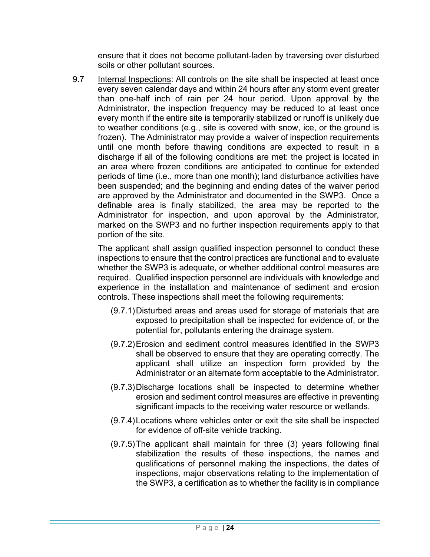ensure that it does not become pollutant-laden by traversing over disturbed soils or other pollutant sources.

9.7 Internal Inspections: All controls on the site shall be inspected at least once every seven calendar days and within 24 hours after any storm event greater than one-half inch of rain per 24 hour period. Upon approval by the Administrator, the inspection frequency may be reduced to at least once every month if the entire site is temporarily stabilized or runoff is unlikely due to weather conditions (e.g., site is covered with snow, ice, or the ground is frozen). The Administrator may provide a waiver of inspection requirements until one month before thawing conditions are expected to result in a discharge if all of the following conditions are met: the project is located in an area where frozen conditions are anticipated to continue for extended periods of time (i.e., more than one month); land disturbance activities have been suspended; and the beginning and ending dates of the waiver period are approved by the Administrator and documented in the SWP3. Once a definable area is finally stabilized, the area may be reported to the Administrator for inspection, and upon approval by the Administrator, marked on the SWP3 and no further inspection requirements apply to that portion of the site.

The applicant shall assign qualified inspection personnel to conduct these inspections to ensure that the control practices are functional and to evaluate whether the SWP3 is adequate, or whether additional control measures are required. Qualified inspection personnel are individuals with knowledge and experience in the installation and maintenance of sediment and erosion controls. These inspections shall meet the following requirements:

- (9.7.1) Disturbed areas and areas used for storage of materials that are exposed to precipitation shall be inspected for evidence of, or the potential for, pollutants entering the drainage system.
- (9.7.2) Erosion and sediment control measures identified in the SWP3 shall be observed to ensure that they are operating correctly. The applicant shall utilize an inspection form provided by the Administrator or an alternate form acceptable to the Administrator.
- (9.7.3) Discharge locations shall be inspected to determine whether erosion and sediment control measures are effective in preventing significant impacts to the receiving water resource or wetlands.
- (9.7.4) Locations where vehicles enter or exit the site shall be inspected for evidence of off-site vehicle tracking.
- (9.7.5) The applicant shall maintain for three (3) years following final stabilization the results of these inspections, the names and qualifications of personnel making the inspections, the dates of inspections, major observations relating to the implementation of the SWP3, a certification as to whether the facility is in compliance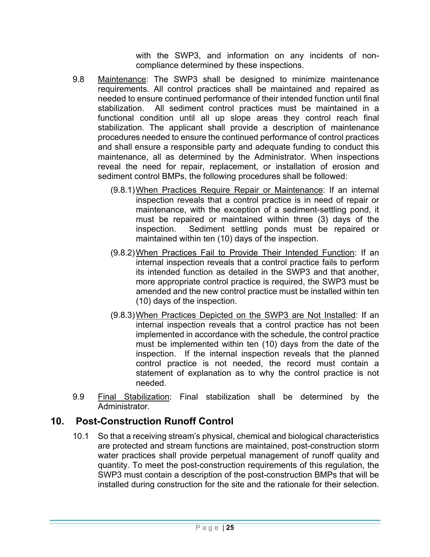with the SWP3, and information on any incidents of noncompliance determined by these inspections.

- 9.8 Maintenance: The SWP3 shall be designed to minimize maintenance requirements. All control practices shall be maintained and repaired as needed to ensure continued performance of their intended function until final stabilization. All sediment control practices must be maintained in a functional condition until all up slope areas they control reach final stabilization. The applicant shall provide a description of maintenance procedures needed to ensure the continued performance of control practices and shall ensure a responsible party and adequate funding to conduct this maintenance, all as determined by the Administrator. When inspections reveal the need for repair, replacement, or installation of erosion and sediment control BMPs, the following procedures shall be followed:
	- (9.8.1) When Practices Require Repair or Maintenance: If an internal inspection reveals that a control practice is in need of repair or maintenance, with the exception of a sediment-settling pond, it must be repaired or maintained within three (3) days of the inspection. Sediment settling ponds must be repaired or maintained within ten (10) days of the inspection.
	- (9.8.2) When Practices Fail to Provide Their Intended Function: If an internal inspection reveals that a control practice fails to perform its intended function as detailed in the SWP3 and that another, more appropriate control practice is required, the SWP3 must be amended and the new control practice must be installed within ten (10) days of the inspection.
	- (9.8.3) When Practices Depicted on the SWP3 are Not Installed: If an internal inspection reveals that a control practice has not been implemented in accordance with the schedule, the control practice must be implemented within ten (10) days from the date of the inspection. If the internal inspection reveals that the planned control practice is not needed, the record must contain a statement of explanation as to why the control practice is not needed.
- 9.9 Final Stabilization: Final stabilization shall be determined by the **Administrator**

## **10. Post-Construction Runoff Control**

10.1 So that a receiving stream's physical, chemical and biological characteristics are protected and stream functions are maintained, post-construction storm water practices shall provide perpetual management of runoff quality and quantity. To meet the post-construction requirements of this regulation, the SWP3 must contain a description of the post-construction BMPs that will be installed during construction for the site and the rationale for their selection.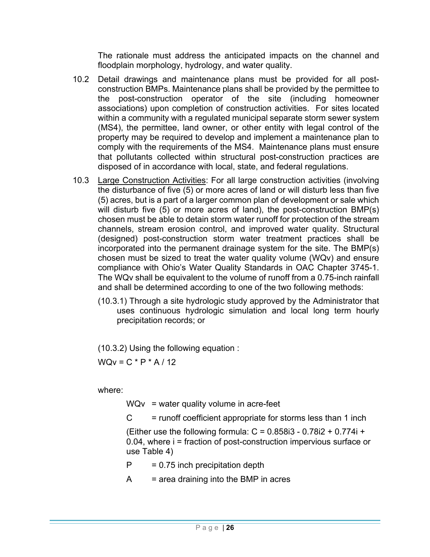The rationale must address the anticipated impacts on the channel and floodplain morphology, hydrology, and water quality.

- 10.2 Detail drawings and maintenance plans must be provided for all postconstruction BMPs. Maintenance plans shall be provided by the permittee to the post-construction operator of the site (including homeowner associations) upon completion of construction activities. For sites located within a community with a regulated municipal separate storm sewer system (MS4), the permittee, land owner, or other entity with legal control of the property may be required to develop and implement a maintenance plan to comply with the requirements of the MS4. Maintenance plans must ensure that pollutants collected within structural post-construction practices are disposed of in accordance with local, state, and federal regulations.
- 10.3 Large Construction Activities: For all large construction activities (involving the disturbance of five (5) or more acres of land or will disturb less than five (5) acres, but is a part of a larger common plan of development or sale which will disturb five (5) or more acres of land), the post-construction BMP(s) chosen must be able to detain storm water runoff for protection of the stream channels, stream erosion control, and improved water quality. Structural (designed) post-construction storm water treatment practices shall be incorporated into the permanent drainage system for the site. The BMP(s) chosen must be sized to treat the water quality volume (WQv) and ensure compliance with Ohio's Water Quality Standards in OAC Chapter 3745-1. The WQv shall be equivalent to the volume of runoff from a 0.75-inch rainfall and shall be determined according to one of the two following methods:
	- (10.3.1) Through a site hydrologic study approved by the Administrator that uses continuous hydrologic simulation and local long term hourly precipitation records; or

(10.3.2) Using the following equation :

 $WQv = C * P * A / 12$ 

where:

 $WQv = water$  quality volume in acre-feet

 $C =$  runoff coefficient appropriate for storms less than 1 inch

(Either use the following formula:  $C = 0.858i3 - 0.78i2 + 0.774i +$ 0.04, where i = fraction of post-construction impervious surface or use Table 4)

- $P = 0.75$  inch precipitation depth
- $A = area$  draining into the BMP in acres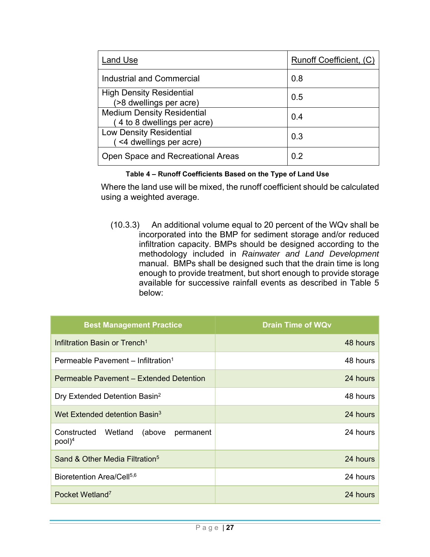| Land Use                                                        | Runoff Coefficient, (C) |
|-----------------------------------------------------------------|-------------------------|
| Industrial and Commercial                                       | 0.8                     |
| <b>High Density Residential</b><br>(>8 dwellings per acre)      | 0.5                     |
| <b>Medium Density Residential</b><br>4 to 8 dwellings per acre) | 0.4                     |
| <b>Low Density Residential</b><br><4 dwellings per acre)        | 0.3                     |
| Open Space and Recreational Areas                               | 02                      |

#### **Table 4 – Runoff Coefficients Based on the Type of Land Use**

Where the land use will be mixed, the runoff coefficient should be calculated using a weighted average.

(10.3.3) An additional volume equal to 20 percent of the WQv shall be incorporated into the BMP for sediment storage and/or reduced infiltration capacity. BMPs should be designed according to the methodology included in *Rainwater and Land Development*  manual. BMPs shall be designed such that the drain time is long enough to provide treatment, but short enough to provide storage available for successive rainfall events as described in Table 5 below:

| <b>Best Management Practice</b>                         | <b>Drain Time of WQv</b> |
|---------------------------------------------------------|--------------------------|
| Infiltration Basin or Trench <sup>1</sup>               | 48 hours                 |
| Permeable Pavement - Infiltration <sup>1</sup>          | 48 hours                 |
| Permeable Pavement – Extended Detention                 | 24 hours                 |
| Dry Extended Detention Basin <sup>2</sup>               | 48 hours                 |
| Wet Extended detention Basin <sup>3</sup>               | 24 hours                 |
| Constructed Wetland<br>(above<br>permanent<br>$pool)^4$ | 24 hours                 |
| Sand & Other Media Filtration <sup>5</sup>              | 24 hours                 |
| Bioretention Area/Cell <sup>5,6</sup>                   | 24 hours                 |
| Pocket Wetland <sup>7</sup>                             | 24 hours                 |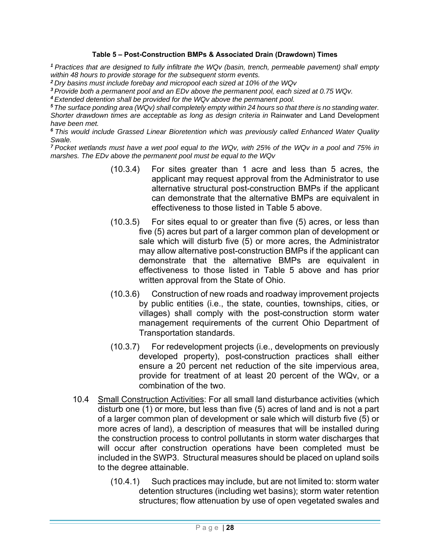#### **Table 5 – Post-Construction BMPs & Associated Drain (Drawdown) Times**

*<sup>1</sup>Practices that are designed to fully infiltrate the WQv (basin, trench, permeable pavement) shall empty within 48 hours to provide storage for the subsequent storm events.* 

*<sup>2</sup>Dry basins must include forebay and micropool each sized at 10% of the WQv* 

*<sup>3</sup>Provide both a permanent pool and an EDv above the permanent pool, each sized at 0.75 WQv.* 

*<sup>4</sup>Extended detention shall be provided for the WQv above the permanent pool.* 

*<sup>5</sup>The surface ponding area (WQv) shall completely empty within 24 hours so that there is no standing water.*  Shorter drawdown times are acceptable as long as design criteria in Rainwater and Land Development *have been met.* 

*<sup>6</sup>This would include Grassed Linear Bioretention which was previously called Enhanced Water Quality Swale.* 

*<sup>7</sup>Pocket wetlands must have a wet pool equal to the WQv, with 25% of the WQv in a pool and 75% in marshes. The EDv above the permanent pool must be equal to the WQv* 

- (10.3.4) For sites greater than 1 acre and less than 5 acres, the applicant may request approval from the Administrator to use alternative structural post-construction BMPs if the applicant can demonstrate that the alternative BMPs are equivalent in effectiveness to those listed in Table 5 above.
- (10.3.5) For sites equal to or greater than five (5) acres, or less than five (5) acres but part of a larger common plan of development or sale which will disturb five (5) or more acres, the Administrator may allow alternative post-construction BMPs if the applicant can demonstrate that the alternative BMPs are equivalent in effectiveness to those listed in Table 5 above and has prior written approval from the State of Ohio.
- (10.3.6) Construction of new roads and roadway improvement projects by public entities (i.e., the state, counties, townships, cities, or villages) shall comply with the post-construction storm water management requirements of the current Ohio Department of Transportation standards.
- (10.3.7) For redevelopment projects (i.e., developments on previously developed property), post-construction practices shall either ensure a 20 percent net reduction of the site impervious area, provide for treatment of at least 20 percent of the WQv, or a combination of the two.
- 10.4 Small Construction Activities: For all small land disturbance activities (which disturb one (1) or more, but less than five (5) acres of land and is not a part of a larger common plan of development or sale which will disturb five (5) or more acres of land), a description of measures that will be installed during the construction process to control pollutants in storm water discharges that will occur after construction operations have been completed must be included in the SWP3. Structural measures should be placed on upland soils to the degree attainable.
	- (10.4.1) Such practices may include, but are not limited to: storm water detention structures (including wet basins); storm water retention structures; flow attenuation by use of open vegetated swales and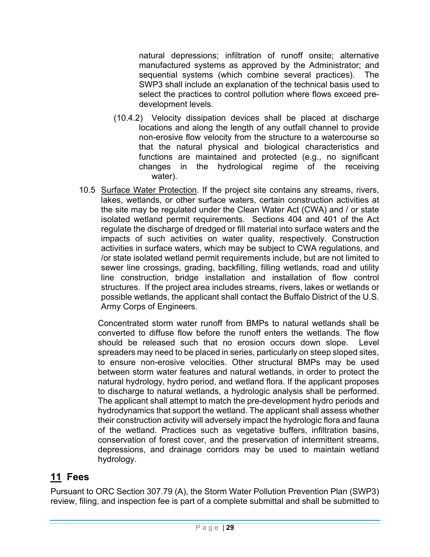natural depressions; infiltration of runoff onsite; alternative manufactured systems as approved by the Administrator; and sequential systems (which combine several practices). The SWP3 shall include an explanation of the technical basis used to select the practices to control pollution where flows exceed predevelopment levels.

- (10.4.2) Velocity dissipation devices shall be placed at discharge locations and along the length of any outfall channel to provide non-erosive flow velocity from the structure to a watercourse so that the natural physical and biological characteristics and functions are maintained and protected (e.g., no significant changes in the hydrological regime of the receiving water).
- 10.5 Surface Water Protection. If the project site contains any streams, rivers, lakes, wetlands, or other surface waters, certain construction activities at the site may be regulated under the Clean Water Act (CWA) and / or state isolated wetland permit requirements. Sections 404 and 401 of the Act regulate the discharge of dredged or fill material into surface waters and the impacts of such activities on water quality, respectively. Construction activities in surface waters, which may be subject to CWA regulations, and /or state isolated wetland permit requirements include, but are not limited to sewer line crossings, grading, backfilling, filling wetlands, road and utility line construction, bridge installation and installation of flow control structures. If the project area includes streams, rivers, lakes or wetlands or possible wetlands, the applicant shall contact the Buffalo District of the U.S. Army Corps of Engineers.

 Concentrated storm water runoff from BMPs to natural wetlands shall be converted to diffuse flow before the runoff enters the wetlands. The flow should be released such that no erosion occurs down slope. Level spreaders may need to be placed in series, particularly on steep sloped sites, to ensure non-erosive velocities. Other structural BMPs may be used between storm water features and natural wetlands, in order to protect the natural hydrology, hydro period, and wetland flora. If the applicant proposes to discharge to natural wetlands, a hydrologic analysis shall be performed. The applicant shall attempt to match the pre-development hydro periods and hydrodynamics that support the wetland. The applicant shall assess whether their construction activity will adversely impact the hydrologic flora and fauna of the wetland. Practices such as vegetative buffers, infiltration basins, conservation of forest cover, and the preservation of intermittent streams, depressions, and drainage corridors may be used to maintain wetland hydrology.

# **11 Fees**

Pursuant to ORC Section 307.79 (A), the Storm Water Pollution Prevention Plan (SWP3) review, filing, and inspection fee is part of a complete submittal and shall be submitted to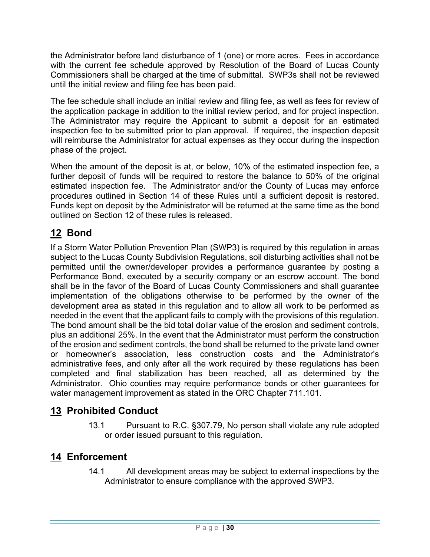the Administrator before land disturbance of 1 (one) or more acres. Fees in accordance with the current fee schedule approved by Resolution of the Board of Lucas County Commissioners shall be charged at the time of submittal. SWP3s shall not be reviewed until the initial review and filing fee has been paid.

The fee schedule shall include an initial review and filing fee, as well as fees for review of the application package in addition to the initial review period, and for project inspection. The Administrator may require the Applicant to submit a deposit for an estimated inspection fee to be submitted prior to plan approval. If required, the inspection deposit will reimburse the Administrator for actual expenses as they occur during the inspection phase of the project.

When the amount of the deposit is at, or below, 10% of the estimated inspection fee, a further deposit of funds will be required to restore the balance to 50% of the original estimated inspection fee. The Administrator and/or the County of Lucas may enforce procedures outlined in Section 14 of these Rules until a sufficient deposit is restored. Funds kept on deposit by the Administrator will be returned at the same time as the bond outlined on Section 12 of these rules is released.

# **12 Bond**

If a Storm Water Pollution Prevention Plan (SWP3) is required by this regulation in areas subject to the Lucas County Subdivision Regulations, soil disturbing activities shall not be permitted until the owner/developer provides a performance guarantee by posting a Performance Bond, executed by a security company or an escrow account. The bond shall be in the favor of the Board of Lucas County Commissioners and shall guarantee implementation of the obligations otherwise to be performed by the owner of the development area as stated in this regulation and to allow all work to be performed as needed in the event that the applicant fails to comply with the provisions of this regulation. The bond amount shall be the bid total dollar value of the erosion and sediment controls, plus an additional 25%. In the event that the Administrator must perform the construction of the erosion and sediment controls, the bond shall be returned to the private land owner or homeowner's association, less construction costs and the Administrator's administrative fees, and only after all the work required by these regulations has been completed and final stabilization has been reached, all as determined by the Administrator. Ohio counties may require performance bonds or other guarantees for water management improvement as stated in the ORC Chapter 711.101.

# **13 Prohibited Conduct**

13.1 Pursuant to R.C. §307.79, No person shall violate any rule adopted or order issued pursuant to this regulation.

# **14 Enforcement**

14.1 All development areas may be subject to external inspections by the Administrator to ensure compliance with the approved SWP3.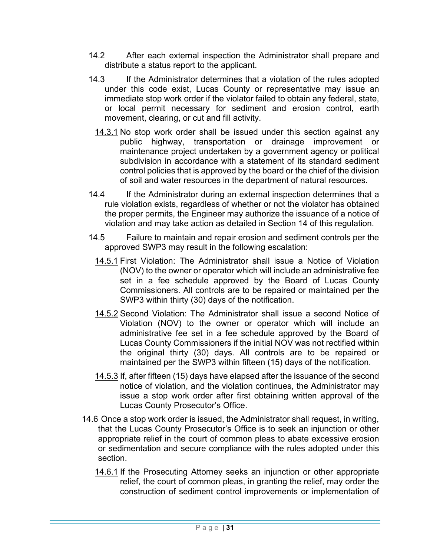- 14.2 After each external inspection the Administrator shall prepare and distribute a status report to the applicant.
- 14.3 If the Administrator determines that a violation of the rules adopted under this code exist, Lucas County or representative may issue an immediate stop work order if the violator failed to obtain any federal, state, or local permit necessary for sediment and erosion control, earth movement, clearing, or cut and fill activity.
	- 14.3.1 No stop work order shall be issued under this section against any public highway, transportation or drainage improvement or maintenance project undertaken by a government agency or political subdivision in accordance with a statement of its standard sediment control policies that is approved by the board or the chief of the division of soil and water resources in the department of natural resources.
- 14.4 If the Administrator during an external inspection determines that a rule violation exists, regardless of whether or not the violator has obtained the proper permits, the Engineer may authorize the issuance of a notice of violation and may take action as detailed in Section 14 of this regulation.
- 14.5 Failure to maintain and repair erosion and sediment controls per the approved SWP3 may result in the following escalation:
	- 14.5.1 First Violation: The Administrator shall issue a Notice of Violation (NOV) to the owner or operator which will include an administrative fee set in a fee schedule approved by the Board of Lucas County Commissioners. All controls are to be repaired or maintained per the SWP3 within thirty (30) days of the notification.
	- 14.5.2 Second Violation: The Administrator shall issue a second Notice of Violation (NOV) to the owner or operator which will include an administrative fee set in a fee schedule approved by the Board of Lucas County Commissioners if the initial NOV was not rectified within the original thirty (30) days. All controls are to be repaired or maintained per the SWP3 within fifteen (15) days of the notification.
	- 14.5.3 If, after fifteen (15) days have elapsed after the issuance of the second notice of violation, and the violation continues, the Administrator may issue a stop work order after first obtaining written approval of the Lucas County Prosecutor's Office.
- 14.6 Once a stop work order is issued, the Administrator shall request, in writing, that the Lucas County Prosecutor's Office is to seek an injunction or other appropriate relief in the court of common pleas to abate excessive erosion or sedimentation and secure compliance with the rules adopted under this section.
	- 14.6.1 If the Prosecuting Attorney seeks an injunction or other appropriate relief, the court of common pleas, in granting the relief, may order the construction of sediment control improvements or implementation of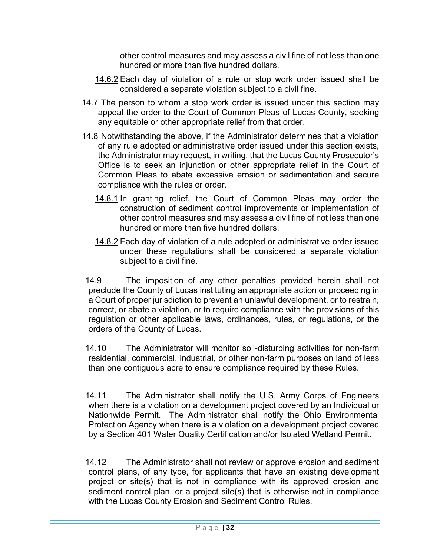other control measures and may assess a civil fine of not less than one hundred or more than five hundred dollars.

- 14.6.2 Each day of violation of a rule or stop work order issued shall be considered a separate violation subject to a civil fine.
- 14.7 The person to whom a stop work order is issued under this section may appeal the order to the Court of Common Pleas of Lucas County, seeking any equitable or other appropriate relief from that order.
- 14.8 Notwithstanding the above, if the Administrator determines that a violation of any rule adopted or administrative order issued under this section exists, the Administrator may request, in writing, that the Lucas County Prosecutor's Office is to seek an injunction or other appropriate relief in the Court of Common Pleas to abate excessive erosion or sedimentation and secure compliance with the rules or order.
	- 14.8.1 In granting relief, the Court of Common Pleas may order the construction of sediment control improvements or implementation of other control measures and may assess a civil fine of not less than one hundred or more than five hundred dollars.
	- 14.8.2 Each day of violation of a rule adopted or administrative order issued under these regulations shall be considered a separate violation subject to a civil fine.

14.9 The imposition of any other penalties provided herein shall not preclude the County of Lucas instituting an appropriate action or proceeding in a Court of proper jurisdiction to prevent an unlawful development, or to restrain, correct, or abate a violation, or to require compliance with the provisions of this regulation or other applicable laws, ordinances, rules, or regulations, or the orders of the County of Lucas.

14.10 The Administrator will monitor soil-disturbing activities for non-farm residential, commercial, industrial, or other non-farm purposes on land of less than one contiguous acre to ensure compliance required by these Rules.

14.11 The Administrator shall notify the U.S. Army Corps of Engineers when there is a violation on a development project covered by an Individual or Nationwide Permit. The Administrator shall notify the Ohio Environmental Protection Agency when there is a violation on a development project covered by a Section 401 Water Quality Certification and/or Isolated Wetland Permit.

14.12 The Administrator shall not review or approve erosion and sediment control plans, of any type, for applicants that have an existing development project or site(s) that is not in compliance with its approved erosion and sediment control plan, or a project site(s) that is otherwise not in compliance with the Lucas County Erosion and Sediment Control Rules.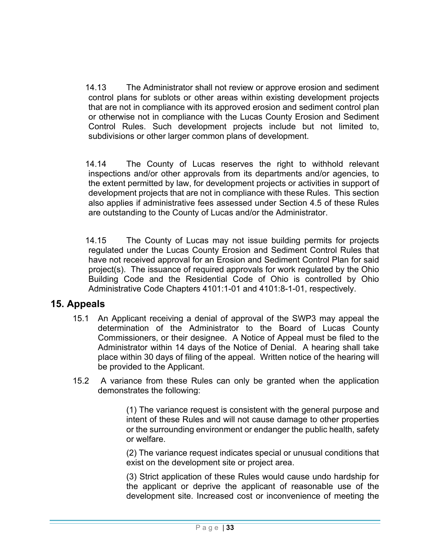14.13 The Administrator shall not review or approve erosion and sediment control plans for sublots or other areas within existing development projects that are not in compliance with its approved erosion and sediment control plan or otherwise not in compliance with the Lucas County Erosion and Sediment Control Rules. Such development projects include but not limited to, subdivisions or other larger common plans of development.

14.14 The County of Lucas reserves the right to withhold relevant inspections and/or other approvals from its departments and/or agencies, to the extent permitted by law, for development projects or activities in support of development projects that are not in compliance with these Rules. This section also applies if administrative fees assessed under Section 4.5 of these Rules are outstanding to the County of Lucas and/or the Administrator.

14.15 The County of Lucas may not issue building permits for projects regulated under the Lucas County Erosion and Sediment Control Rules that have not received approval for an Erosion and Sediment Control Plan for said project(s). The issuance of required approvals for work regulated by the Ohio Building Code and the Residential Code of Ohio is controlled by Ohio Administrative Code Chapters 4101:1-01 and 4101:8-1-01, respectively.

### **15. Appeals**

- 15.1 An Applicant receiving a denial of approval of the SWP3 may appeal the determination of the Administrator to the Board of Lucas County Commissioners, or their designee. A Notice of Appeal must be filed to the Administrator within 14 days of the Notice of Denial. A hearing shall take place within 30 days of filing of the appeal. Written notice of the hearing will be provided to the Applicant.
- 15.2 A variance from these Rules can only be granted when the application demonstrates the following:

(1) The variance request is consistent with the general purpose and intent of these Rules and will not cause damage to other properties or the surrounding environment or endanger the public health, safety or welfare.

(2) The variance request indicates special or unusual conditions that exist on the development site or project area.

(3) Strict application of these Rules would cause undo hardship for the applicant or deprive the applicant of reasonable use of the development site. Increased cost or inconvenience of meeting the